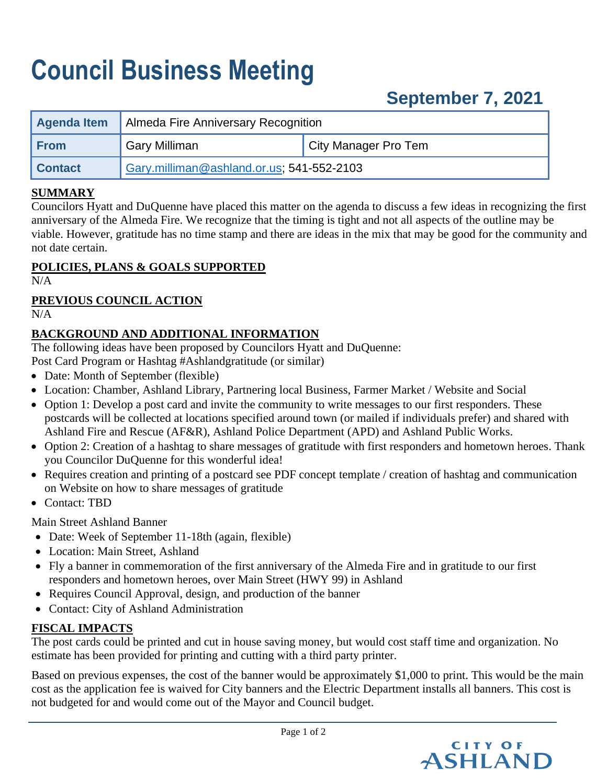# **Council Business Meeting**

# **September 7, 2021**

| Agenda Item    | Almeda Fire Anniversary Recognition       |                      |
|----------------|-------------------------------------------|----------------------|
| <b>From</b>    | Gary Milliman                             | City Manager Pro Tem |
| <b>Contact</b> | Gary.milliman@ashland.or.us; 541-552-2103 |                      |

#### **SUMMARY**

Councilors Hyatt and DuQuenne have placed this matter on the agenda to discuss a few ideas in recognizing the first anniversary of the Almeda Fire. We recognize that the timing is tight and not all aspects of the outline may be viable. However, gratitude has no time stamp and there are ideas in the mix that may be good for the community and not date certain.

### **POLICIES, PLANS & GOALS SUPPORTED**

N/A

### **PREVIOUS COUNCIL ACTION**

 $N/A$ 

### **BACKGROUND AND ADDITIONAL INFORMATION**

The following ideas have been proposed by Councilors Hyatt and DuQuenne:

Post Card Program or Hashtag #Ashlandgratitude (or similar)

- Date: Month of September (flexible)
- Location: Chamber, Ashland Library, Partnering local Business, Farmer Market / Website and Social
- Option 1: Develop a post card and invite the community to write messages to our first responders. These postcards will be collected at locations specified around town (or mailed if individuals prefer) and shared with Ashland Fire and Rescue (AF&R), Ashland Police Department (APD) and Ashland Public Works.
- Option 2: Creation of a hashtag to share messages of gratitude with first responders and hometown heroes. Thank you Councilor DuQuenne for this wonderful idea!
- Requires creation and printing of a postcard see PDF concept template / creation of hashtag and communication on Website on how to share messages of gratitude
- Contact: TBD

Main Street Ashland Banner

- Date: Week of September 11-18th (again, flexible)
- Location: Main Street, Ashland
- Fly a banner in commemoration of the first anniversary of the Almeda Fire and in gratitude to our first responders and hometown heroes, over Main Street (HWY 99) in Ashland
- Requires Council Approval, design, and production of the banner
- Contact: City of Ashland Administration

## **FISCAL IMPACTS**

The post cards could be printed and cut in house saving money, but would cost staff time and organization. No estimate has been provided for printing and cutting with a third party printer.

Based on previous expenses, the cost of the banner would be approximately \$1,000 to print. This would be the main cost as the application fee is waived for City banners and the Electric Department installs all banners. This cost is not budgeted for and would come out of the Mayor and Council budget.